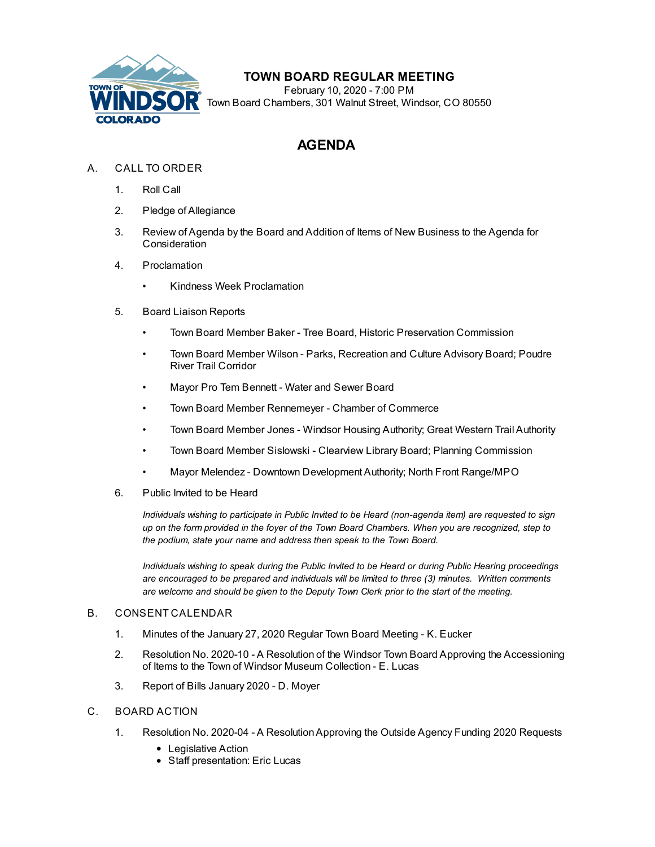

## **TOWN BOARD REGULAR MEETING**

February 10, 2020 - 7:00 PM Town Board Chambers, 301 Walnut Street, Windsor, CO 80550

# **AGENDA**

- A. CALL TO ORDER
	- 1. Roll Call
	- 2. Pledge of Allegiance
	- 3. Review of Agenda by the Board and Addition of Items of New Business to the Agenda for **Consideration**
	- 4. Proclamation
		- Kindness Week [Proclamation](file:///C:/Windows/TEMP/CoverSheet.aspx?ItemID=722&MeetingID=121)
	- 5. Board Liaison Reports
		- Town Board Member Baker Tree Board, Historic Preservation Commission
		- Town Board Member Wilson Parks, Recreation and Culture Advisory Board; Poudre River Trail Corridor
		- Mayor Pro Tem Bennett Water and Sewer Board
		- Town Board Member Rennemeyer Chamber of Commerce
		- Town Board Member Jones Windsor Housing Authority; Great Western Trail Authority
		- Town Board Member Sislowski Clearview Library Board; Planning Commission
		- Mayor Melendez Downtown Development Authority; North Front Range/MPO
	- 6. Public Invited to be Heard

*Individuals wishing to participate in Public Invited to be Heard (non-agenda item) are requested to sign* up on the form provided in the foyer of the Town Board Chambers. When you are recognized, step to *the podium, state your name and address then speak to the Town Board.*

*Individuals wishing to speak during the Public Invited to be Heard or during Public Hearing proceedings are encouraged to be prepared and individuals will be limited to three (3) minutes. Written comments are welcome and should be given to the Deputy Town Clerk prior to the start of the meeting.*

### B. CONSENT CALENDAR

- 1. Minutes of the January 27, 2020 Regular Town Board [Meeting](file:///C:/Windows/TEMP/CoverSheet.aspx?ItemID=734&MeetingID=121) K. Eucker
- 2. Resolution No. 2020-10 A Resolution of the Windsor Town Board Approving the [Accessioning](file:///C:/Windows/TEMP/CoverSheet.aspx?ItemID=730&MeetingID=121) of Items to the Town of Windsor Museum Collection - E. Lucas
- 3. Report of Bills [January](file:///C:/Windows/TEMP/CoverSheet.aspx?ItemID=732&MeetingID=121) 2020 D. Moyer
- C. BOARD ACTION
	- 1. Resolution No. 2020-04 A [ResolutionApproving](file:///C:/Windows/TEMP/CoverSheet.aspx?ItemID=731&MeetingID=121) the Outside Agency Funding 2020 Requests
		- Legislative Action
		- Staff presentation: Eric Lucas